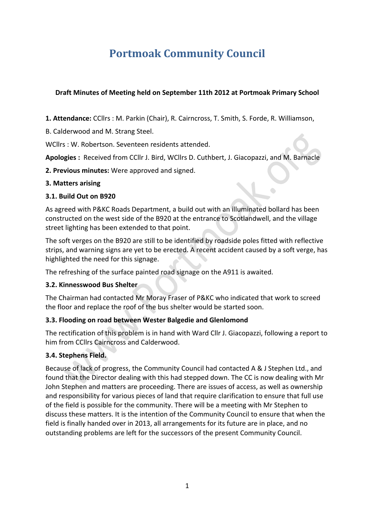# **Portmoak Community Council**

# **Draft Minutes of Meeting held on September 11th 2012 at Portmoak Primary School**

1. Attendance: CCllrs : M. Parkin (Chair), R. Cairncross, T. Smith, S. Forde, R. Williamson,

B. Calderwood and M. Strang Steel.

WCllrs : W. Robertson. Seventeen residents attended.

Apologies : Received from CCllr J. Bird, WCllrs D. Cuthbert, J. Giacopazzi, and M. Barnacle

**2. Previous minutes:** Were approved and signed.

#### **3. Matters arising**

## **3.1. Build Out on B920**

As agreed with P&KC Roads Department, a build out with an illuminated bollard has been constructed on the west side of the B920 at the entrance to Scotlandwell, and the village street lighting has been extended to that point.

The soft verges on the B920 are still to be identified by roadside poles fitted with reflective strips, and warning signs are yet to be erected. A recent accident caused by a soft verge, has highlighted the need for this signage.

The refreshing of the surface painted road signage on the A911 is awaited.

## **3.2. Kinnesswood Bus Shelter**

The Chairman had contacted Mr Moray Fraser of P&KC who indicated that work to screed the floor and replace the roof of the bus shelter would be started soon.

## **3.3. Flooding on road between Wester Balgedie and Glenlomond**

The rectification of this problem is in hand with Ward Cllr J. Giacopazzi, following a report to him from CCllrs Cairncross and Calderwood.

## **3.4. Stephens Field.**

Because of lack of progress, the Community Council had contacted A & J Stephen Ltd., and found that the Director dealing with this had stepped down. The CC is now dealing with Mr John Stephen and matters are proceeding. There are issues of access, as well as ownership and responsibility for various pieces of land that require clarification to ensure that full use of the field is possible for the community. There will be a meeting with Mr Stephen to discuss these matters. It is the intention of the Community Council to ensure that when the field is finally handed over in 2013, all arrangements for its future are in place, and no outstanding problems are left for the successors of the present Community Council.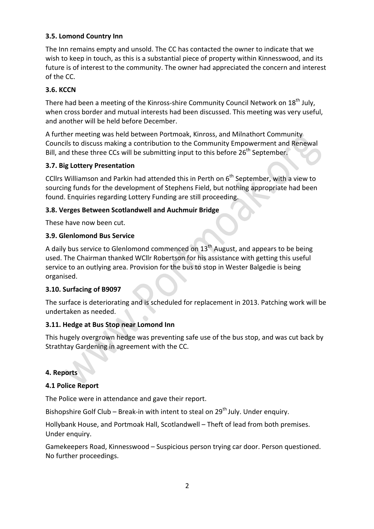# **3.5. Lomond Country Inn**

The Inn remains empty and unsold. The CC has contacted the owner to indicate that we wish to keep in touch, as this is a substantial piece of property within Kinnesswood, and its future is of interest to the community. The owner had appreciated the concern and interest of the CC.

# **3.6. KCCN**

There had been a meeting of the Kinross-shire Community Council Network on  $18<sup>th</sup>$  July, when cross border and mutual interests had been discussed. This meeting was very useful, and another will be held before December.

A further meeting was held between Portmoak, Kinross, and Milnathort Community Councils to discuss making a contribution to the Community Empowerment and Renewal Bill, and these three CCs will be submitting input to this before 26<sup>th</sup> September.

## **3.7. Big Lottery Presentation**

CCllrs Williamson and Parkin had attended this in Perth on  $6<sup>th</sup>$  September, with a view to sourcing funds for the development of Stephens Field, but nothing appropriate had been found. Enquiries regarding Lottery Funding are still proceeding.

## **3.8. Verges Between Scotlandwell and Auchmuir Bridge**

These have now been cut.

## **3.9. Glenlomond Bus Service**

A daily bus service to Glenlomond commenced on  $13<sup>th</sup>$  August, and appears to be being used. The Chairman thanked WCllr Robertson for his assistance with getting this useful service to an outlying area. Provision for the bus to stop in Wester Balgedie is being organised.

## **3.10. Surfacing of B9097**

The surface is deteriorating and is scheduled for replacement in 2013. Patching work will be undertaken as needed.

## **3.11. Hedge at Bus Stop near Lomond Inn**

This hugely overgrown hedge was preventing safe use of the bus stop, and was cut back by Strathtay Gardening in agreement with the CC.

#### **4. Reports**

#### **4.1 Police Report**

The Police were in attendance and gave their report.

Bishopshire Golf Club – Break-in with intent to steal on  $29^{th}$  July. Under enquiry.

Hollybank House, and Portmoak Hall, Scotlandwell – Theft of lead from both premises. Under enquiry.

Gamekeepers Road, Kinnesswood - Suspicious person trying car door. Person questioned. No further proceedings.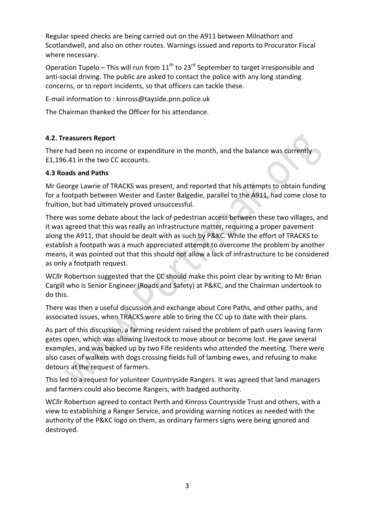Regular speed checks are being carried out on the A911 between Milnathort and Scotlandwell, and also on other routes. Warnings issued and reports to Procurator Fiscal where necessary.

Operation Tupelo – This will run from  $11^{th}$  to  $23^{rd}$  September to target irresponsible and anti-social driving. The public are asked to contact the police with any long standing concerns, or to report incidents, so that officers can tackle these.

E-mail information to : kinross@tayside.pnn.police.uk

The Chairman thanked the Officer for his attendance.

## **4.2. Treasurers Report**

There had been no income or expenditure in the month, and the balance was currently £1,196.41 in the two CC accounts.

#### **4.3 Roads and Paths**

Mr George Lawrie of TRACKS was present, and reported that his attempts to obtain funding for a footpath between Wester and Easter Balgedie, parallel to the A911, had come close to fruition, but had ultimately proved unsuccessful.

There was some debate about the lack of pedestrian access between these two villages, and it was agreed that this was really an infrastructure matter, requiring a proper pavement along the A911, that should be dealt with as such by P&KC. While the effort of TRACKS to establish a footpath was a much appreciated attempt to overcome the problem by another means, it was pointed out that this should not allow a lack of infrastructure to be considered as only a footpath request.

WCllr Robertson suggested that the CC should make this point clear by writing to Mr Brian Cargill who is Senior Engineer (Roads and Safety) at P&KC, and the Chairman undertook to do this.

There was then a useful discussion and exchange about Core Paths, and other paths, and associated issues, when TRACKS were able to bring the CC up to date with their plans.

As part of this discussion, a farming resident raised the problem of path users leaving farm gates open, which was allowing livestock to move about or become lost. He gave several examples, and was backed up by two Fife residents who attended the meeting. There were also cases of walkers with dogs crossing fields full of lambing ewes, and refusing to make detours at the request of farmers.

This led to a request for volunteer Countryside Rangers. It was agreed that land managers and farmers could also become Rangers, with badged authority.

WCllr Robertson agreed to contact Perth and Kinross Countryside Trust and others, with a view to establishing a Ranger Service, and providing warning notices as needed with the authority of the P&KC logo on them, as ordinary farmers signs were being ignored and destroyed.